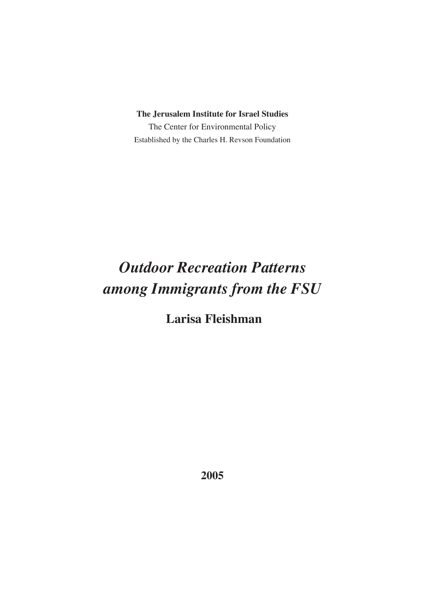**The Jerusalem Institute for Israel Studies**

The Center for Environmental Policy Established by the Charles H. Revson Foundation

# *Outdoor Recreation Patterns among Immigrants from the FSU*

 **Larisa Fleishman**

**2005**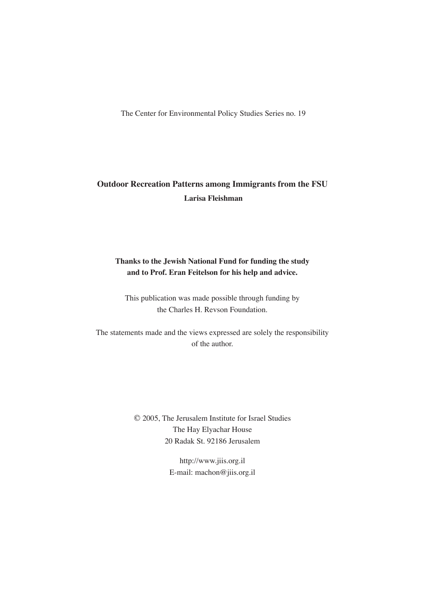The Center for Environmental Policy Studies Series no. 19

### **Outdoor Recreation Patterns among Immigrants from the FSU Larisa Fleishman**

### **Thanks to the Jewish National Fund for funding the study and to Prof. Eran Feitelson for his help and advice.**

This publication was made possible through funding by the Charles H. Revson Foundation.

The statements made and the views expressed are solely the responsibility of the author.

> © 2005, The Jerusalem Institute for Israel Studies The Hay Elyachar House 20 Radak St. 92186 Jerusalem

> > http://www.jiis.org.il E-mail: machon@jiis.org.il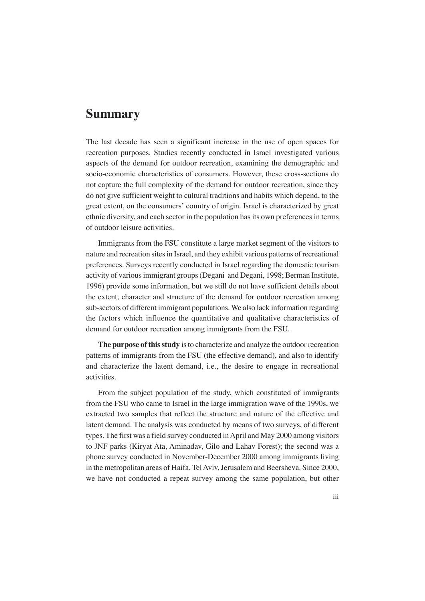### **Summary**

The last decade has seen a significant increase in the use of open spaces for recreation purposes. Studies recently conducted in Israel investigated various aspects of the demand for outdoor recreation, examining the demographic and socio-economic characteristics of consumers. However, these cross-sections do not capture the full complexity of the demand for outdoor recreation, since they do not give sufficient weight to cultural traditions and habits which depend, to the great extent, on the consumers' country of origin. Israel is characterized by great ethnic diversity, and each sector in the population has its own preferences in terms of outdoor leisure activities.

Immigrants from the FSU constitute a large market segment of the visitors to nature and recreation sites in Israel, and they exhibit various patterns of recreational preferences. Surveys recently conducted in Israel regarding the domestic tourism activity of various immigrant groups (Degani and Degani, 1998; Berman Institute, 1996) provide some information, but we still do not have sufficient details about the extent, character and structure of the demand for outdoor recreation among sub-sectors of different immigrant populations. We also lack information regarding the factors which influence the quantitative and qualitative characteristics of demand for outdoor recreation among immigrants from the FSU.

**The purpose of this study** is to characterize and analyze the outdoor recreation patterns of immigrants from the FSU (the effective demand), and also to identify and characterize the latent demand, i.e., the desire to engage in recreational activities.

From the subject population of the study, which constituted of immigrants from the FSU who came to Israel in the large immigration wave of the 1990s, we extracted two samples that reflect the structure and nature of the effective and latent demand. The analysis was conducted by means of two surveys, of different types. The first was a field survey conducted in April and May 2000 among visitors to JNF parks (Kiryat Ata, Aminadav, Gilo and Lahav Forest); the second was a phone survey conducted in November-December 2000 among immigrants living in the metropolitan areas of Haifa, Tel Aviv, Jerusalem and Beersheva. Since 2000, we have not conducted a repeat survey among the same population, but other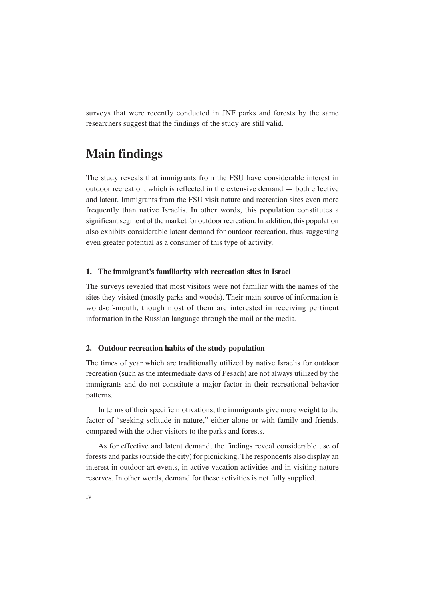surveys that were recently conducted in JNF parks and forests by the same researchers suggest that the findings of the study are still valid.

## **Main findings**

The study reveals that immigrants from the FSU have considerable interest in outdoor recreation, which is reflected in the extensive demand — both effective and latent. Immigrants from the FSU visit nature and recreation sites even more frequently than native Israelis. In other words, this population constitutes a significant segment of the market for outdoor recreation. In addition, this population also exhibits considerable latent demand for outdoor recreation, thus suggesting even greater potential as a consumer of this type of activity.

#### **1. The immigrant's familiarity with recreation sites in Israel**

The surveys revealed that most visitors were not familiar with the names of the sites they visited (mostly parks and woods). Their main source of information is word-of-mouth, though most of them are interested in receiving pertinent information in the Russian language through the mail or the media.

#### **2. Outdoor recreation habits of the study population**

The times of year which are traditionally utilized by native Israelis for outdoor recreation (such as the intermediate days of Pesach) are not always utilized by the immigrants and do not constitute a major factor in their recreational behavior patterns.

In terms of their specific motivations, the immigrants give more weight to the factor of "seeking solitude in nature," either alone or with family and friends, compared with the other visitors to the parks and forests.

As for effective and latent demand, the findings reveal considerable use of forests and parks (outside the city) for picnicking. The respondents also display an interest in outdoor art events, in active vacation activities and in visiting nature reserves. In other words, demand for these activities is not fully supplied.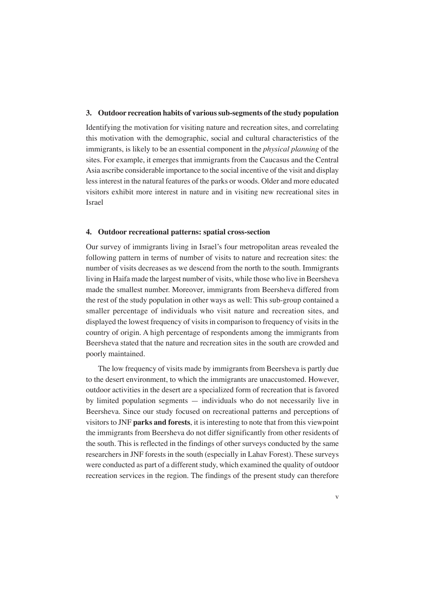#### **3. Outdoor recreation habits of various sub-segments of the study population**

Identifying the motivation for visiting nature and recreation sites, and correlating this motivation with the demographic, social and cultural characteristics of the immigrants, is likely to be an essential component in the *physical planning* of the sites. For example, it emerges that immigrants from the Caucasus and the Central Asia ascribe considerable importance to the social incentive of the visit and display less interest in the natural features of the parks or woods. Older and more educated visitors exhibit more interest in nature and in visiting new recreational sites in Israel

#### **4. Outdoor recreational patterns: spatial cross-section**

Our survey of immigrants living in Israel's four metropolitan areas revealed the following pattern in terms of number of visits to nature and recreation sites: the number of visits decreases as we descend from the north to the south. Immigrants living in Haifa made the largest number of visits, while those who live in Beersheva made the smallest number. Moreover, immigrants from Beersheva differed from the rest of the study population in other ways as well: This sub-group contained a smaller percentage of individuals who visit nature and recreation sites, and displayed the lowest frequency of visits in comparison to frequency of visits in the country of origin. A high percentage of respondents among the immigrants from Beersheva stated that the nature and recreation sites in the south are crowded and poorly maintained.

The low frequency of visits made by immigrants from Beersheva is partly due to the desert environment, to which the immigrants are unaccustomed. However, outdoor activities in the desert are a specialized form of recreation that is favored by limited population segments — individuals who do not necessarily live in Beersheva. Since our study focused on recreational patterns and perceptions of visitors to JNF **parks and forests**, it is interesting to note that from this viewpoint the immigrants from Beersheva do not differ significantly from other residents of the south. This is reflected in the findings of other surveys conducted by the same researchers in JNF forests in the south (especially in Lahav Forest). These surveys were conducted as part of a different study, which examined the quality of outdoor recreation services in the region. The findings of the present study can therefore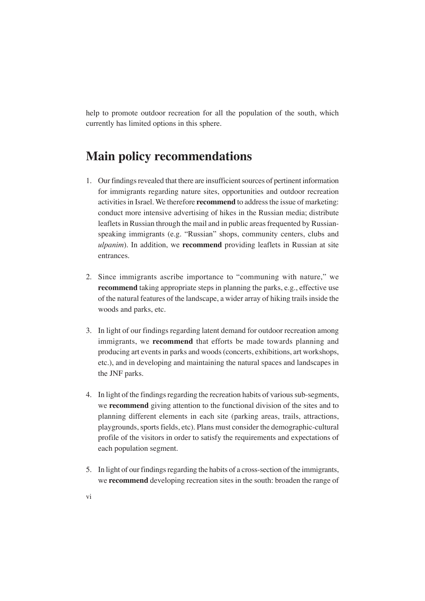help to promote outdoor recreation for all the population of the south, which currently has limited options in this sphere.

## **Main policy recommendations**

- 1. Our findings revealed that there are insufficient sources of pertinent information for immigrants regarding nature sites, opportunities and outdoor recreation activities in Israel. We therefore **recommend** to address the issue of marketing: conduct more intensive advertising of hikes in the Russian media; distribute leaflets in Russian through the mail and in public areas frequented by Russianspeaking immigrants (e.g. "Russian" shops, community centers, clubs and *ulpanim*). In addition, we **recommend** providing leaflets in Russian at site entrances.
- 2. Since immigrants ascribe importance to "communing with nature," we **recommend** taking appropriate steps in planning the parks, e.g., effective use of the natural features of the landscape, a wider array of hiking trails inside the woods and parks, etc.
- 3. In light of our findings regarding latent demand for outdoor recreation among immigrants, we **recommend** that efforts be made towards planning and producing art events in parks and woods (concerts, exhibitions, art workshops, etc.), and in developing and maintaining the natural spaces and landscapes in the JNF parks.
- 4. In light of the findings regarding the recreation habits of various sub-segments, we **recommend** giving attention to the functional division of the sites and to planning different elements in each site (parking areas, trails, attractions, playgrounds, sports fields, etc). Plans must consider the demographic-cultural profile of the visitors in order to satisfy the requirements and expectations of each population segment.
- 5. In light of our findings regarding the habits of a cross-section of the immigrants, we **recommend** developing recreation sites in the south: broaden the range of